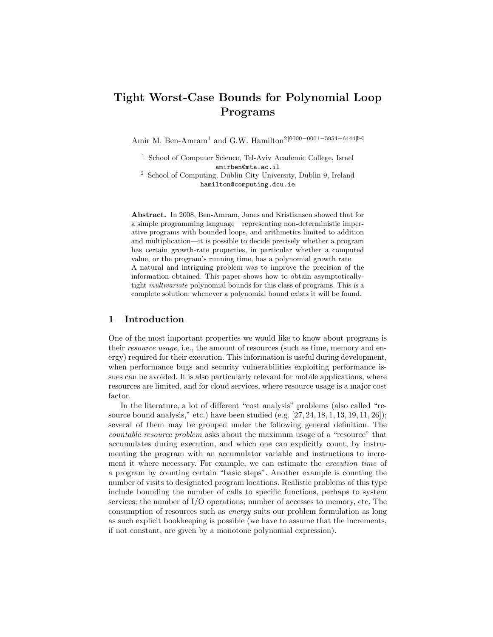# Tight Worst-Case Bounds for Polynomial Loop Programs

Amir M. Ben-Amram<sup>1</sup> and G.W. Hamilton<sup>2[0000–0001–5954–6444] $\boxtimes$ </sup>

<sup>1</sup> School of Computer Science, Tel-Aviv Academic College, Israel amirben@mta.ac.il

<sup>2</sup> School of Computing, Dublin City University, Dublin 9, Ireland hamilton@computing.dcu.ie

Abstract. In 2008, Ben-Amram, Jones and Kristiansen showed that for a simple programming language—representing non-deterministic imperative programs with bounded loops, and arithmetics limited to addition and multiplication—it is possible to decide precisely whether a program has certain growth-rate properties, in particular whether a computed value, or the program's running time, has a polynomial growth rate. A natural and intriguing problem was to improve the precision of the information obtained. This paper shows how to obtain asymptoticallytight multivariate polynomial bounds for this class of programs. This is a complete solution: whenever a polynomial bound exists it will be found.

## 1 Introduction

One of the most important properties we would like to know about programs is their *resource usage*, i.e., the amount of resources (such as time, memory and energy) required for their execution. This information is useful during development, when performance bugs and security vulnerabilities exploiting performance issues can be avoided. It is also particularly relevant for mobile applications, where resources are limited, and for cloud services, where resource usage is a major cost factor.

In the literature, a lot of different "cost analysis" problems (also called "resource bound analysis," etc.) have been studied (e.g.  $[27, 24, 18, 1, 13, 19, 11, 26]$ ); several of them may be grouped under the following general definition. The countable resource problem asks about the maximum usage of a "resource" that accumulates during execution, and which one can explicitly count, by instrumenting the program with an accumulator variable and instructions to increment it where necessary. For example, we can estimate the execution time of a program by counting certain "basic steps". Another example is counting the number of visits to designated program locations. Realistic problems of this type include bounding the number of calls to specific functions, perhaps to system services; the number of I/O operations; number of accesses to memory, etc. The consumption of resources such as energy suits our problem formulation as long as such explicit bookkeeping is possible (we have to assume that the increments, if not constant, are given by a monotone polynomial expression).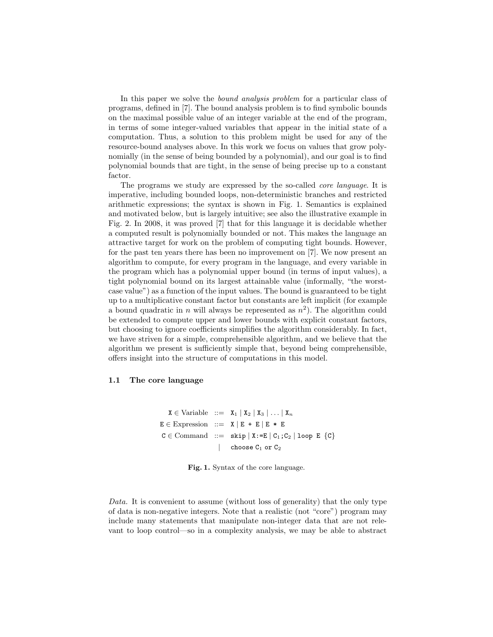In this paper we solve the *bound analysis problem* for a particular class of programs, defined in [7]. The bound analysis problem is to find symbolic bounds on the maximal possible value of an integer variable at the end of the program, in terms of some integer-valued variables that appear in the initial state of a computation. Thus, a solution to this problem might be used for any of the resource-bound analyses above. In this work we focus on values that grow polynomially (in the sense of being bounded by a polynomial), and our goal is to find polynomial bounds that are tight, in the sense of being precise up to a constant factor.

The programs we study are expressed by the so-called core language. It is imperative, including bounded loops, non-deterministic branches and restricted arithmetic expressions; the syntax is shown in Fig. 1. Semantics is explained and motivated below, but is largely intuitive; see also the illustrative example in Fig. 2. In 2008, it was proved [7] that for this language it is decidable whether a computed result is polynomially bounded or not. This makes the language an attractive target for work on the problem of computing tight bounds. However, for the past ten years there has been no improvement on [7]. We now present an algorithm to compute, for every program in the language, and every variable in the program which has a polynomial upper bound (in terms of input values), a tight polynomial bound on its largest attainable value (informally, "the worstcase value") as a function of the input values. The bound is guaranteed to be tight up to a multiplicative constant factor but constants are left implicit (for example a bound quadratic in *n* will always be represented as  $n^2$ ). The algorithm could be extended to compute upper and lower bounds with explicit constant factors, but choosing to ignore coefficients simplifies the algorithm considerably. In fact, we have striven for a simple, comprehensible algorithm, and we believe that the algorithm we present is sufficiently simple that, beyond being comprehensible, offers insight into the structure of computations in this model.

## 1.1 The core language

$$
X \in \text{Variable} \ ::= X_1 \mid X_2 \mid X_3 \mid \dots \mid X_n
$$
  
\n
$$
E \in \text{Expression} \ ::= X \mid E + E \mid E * E
$$
  
\n
$$
C \in \text{Command} \ ::= \text{skip} \mid X := E \mid C_1; C_2 \mid \text{loop } E \{C\}
$$
  
\n
$$
\mid \text{choose } C_2
$$

Fig. 1. Syntax of the core language.

Data. It is convenient to assume (without loss of generality) that the only type of data is non-negative integers. Note that a realistic (not "core") program may include many statements that manipulate non-integer data that are not relevant to loop control—so in a complexity analysis, we may be able to abstract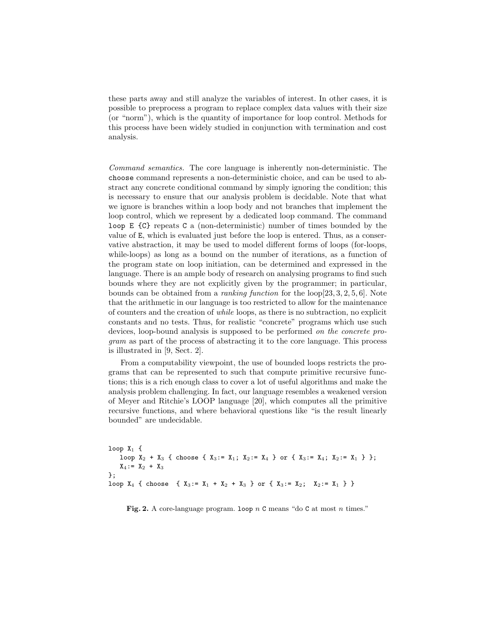these parts away and still analyze the variables of interest. In other cases, it is possible to preprocess a program to replace complex data values with their size (or "norm"), which is the quantity of importance for loop control. Methods for this process have been widely studied in conjunction with termination and cost analysis.

Command semantics. The core language is inherently non-deterministic. The choose command represents a non-deterministic choice, and can be used to abstract any concrete conditional command by simply ignoring the condition; this is necessary to ensure that our analysis problem is decidable. Note that what we ignore is branches within a loop body and not branches that implement the loop control, which we represent by a dedicated loop command. The command loop E {C} repeats C a (non-deterministic) number of times bounded by the value of E, which is evaluated just before the loop is entered. Thus, as a conservative abstraction, it may be used to model different forms of loops (for-loops, while-loops) as long as a bound on the number of iterations, as a function of the program state on loop initiation, can be determined and expressed in the language. There is an ample body of research on analysing programs to find such bounds where they are not explicitly given by the programmer; in particular, bounds can be obtained from a *ranking function* for the loop[23, 3, 2, 5, 6]. Note that the arithmetic in our language is too restricted to allow for the maintenance of counters and the creation of while loops, as there is no subtraction, no explicit constants and no tests. Thus, for realistic "concrete" programs which use such devices, loop-bound analysis is supposed to be performed on the concrete program as part of the process of abstracting it to the core language. This process is illustrated in [9, Sect. 2].

From a computability viewpoint, the use of bounded loops restricts the programs that can be represented to such that compute primitive recursive functions; this is a rich enough class to cover a lot of useful algorithms and make the analysis problem challenging. In fact, our language resembles a weakened version of Meyer and Ritchie's LOOP language [20], which computes all the primitive recursive functions, and where behavioral questions like "is the result linearly bounded" are undecidable.

loop  $X_1$  { loop  $X_2 + X_3$  { choose {  $X_3 := X_1$ ;  $X_2 := X_4$  } or {  $X_3 := X_4$ ;  $X_2 := X_1$  } };  $X_4 := X_2 + X_3$ }; loop  $X_4$  { choose {  $X_3 := X_1 + X_2 + X_3$  } or {  $X_3 := X_2$ ;  $X_2 := X_1$  } }

Fig. 2. A core-language program. loop  $n$  C means "do C at most  $n$  times."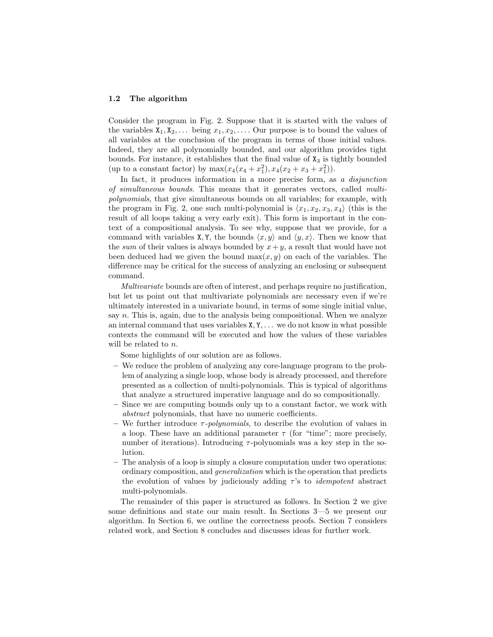#### 1.2 The algorithm

Consider the program in Fig. 2. Suppose that it is started with the values of the variables  $X_1, X_2, \ldots$  being  $x_1, x_2, \ldots$  Our purpose is to bound the values of all variables at the conclusion of the program in terms of those initial values. Indeed, they are all polynomially bounded, and our algorithm provides tight bounds. For instance, it establishes that the final value of  $X_3$  is tightly bounded (up to a constant factor) by  $\max(x_4(x_4 + x_1^2), x_4(x_2 + x_3 + x_1^2)).$ 

In fact, it produces information in a more precise form, as a disjunction of simultaneous bounds. This means that it generates vectors, called multipolynomials, that give simultaneous bounds on all variables; for example, with the program in Fig. 2, one such multi-polynomial is  $\langle x_1, x_2, x_3, x_4 \rangle$  (this is the result of all loops taking a very early exit). This form is important in the context of a compositional analysis. To see why, suppose that we provide, for a command with variables X, Y, the bounds  $\langle x, y \rangle$  and  $\langle y, x \rangle$ . Then we know that the sum of their values is always bounded by  $x+y$ , a result that would have not been deduced had we given the bound  $\max(x, y)$  on each of the variables. The difference may be critical for the success of analyzing an enclosing or subsequent command.

Multivariate bounds are often of interest, and perhaps require no justification, but let us point out that multivariate polynomials are necessary even if we're ultimately interested in a univariate bound, in terms of some single initial value, say  $n$ . This is, again, due to the analysis being compositional. When we analyze an internal command that uses variables  $X, Y, \ldots$  we do not know in what possible contexts the command will be executed and how the values of these variables will be related to n.

Some highlights of our solution are as follows.

- We reduce the problem of analyzing any core-language program to the problem of analyzing a single loop, whose body is already processed, and therefore presented as a collection of multi-polynomials. This is typical of algorithms that analyze a structured imperative language and do so compositionally.
- Since we are computing bounds only up to a constant factor, we work with abstract polynomials, that have no numeric coefficients.
- We further introduce  $\tau$ -polynomials, to describe the evolution of values in a loop. These have an additional parameter  $\tau$  (for "time"; more precisely, number of iterations). Introducing  $\tau$ -polynomials was a key step in the solution.
- The analysis of a loop is simply a closure computation under two operations: ordinary composition, and generalization which is the operation that predicts the evolution of values by judiciously adding  $\tau$ 's to *idempotent* abstract multi-polynomials.

The remainder of this paper is structured as follows. In Section 2 we give some definitions and state our main result. In Sections 3—5 we present our algorithm. In Section 6, we outline the correctness proofs. Section 7 considers related work, and Section 8 concludes and discusses ideas for further work.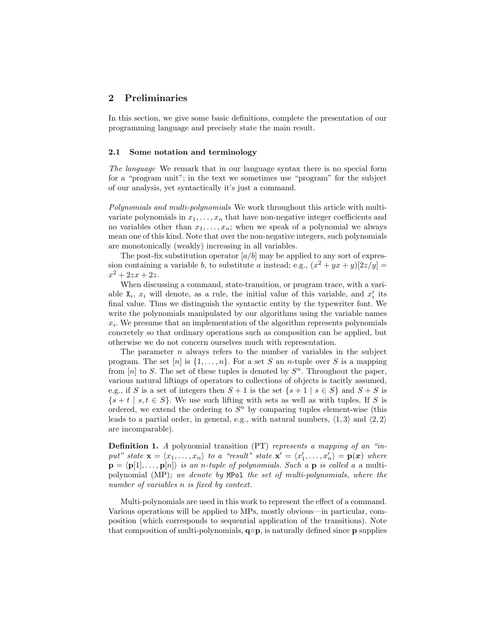# 2 Preliminaries

In this section, we give some basic definitions, complete the presentation of our programming language and precisely state the main result.

#### 2.1 Some notation and terminology

The language We remark that in our language syntax there is no special form for a "program unit"; in the text we sometimes use "program" for the subject of our analysis, yet syntactically it's just a command.

Polynomials and multi-polynomials We work throughout this article with multivariate polynomials in  $x_1, \ldots, x_n$  that have non-negative integer coefficients and no variables other than  $x_1, \ldots, x_n$ ; when we speak of a polynomial we always mean one of this kind. Note that over the non-negative integers, such polynomials are monotonically (weakly) increasing in all variables.

The post-fix substitution operator  $[a/b]$  may be applied to any sort of expression containing a variable b, to substitute a instead; e.g.,  $(x^2 + yx + y)[2z/y] =$  $x^2 + 2zx + 2z$ .

When discussing a command, state-transition, or program trace, with a variable  $X_i$ ,  $x_i$  will denote, as a rule, the initial value of this variable, and  $x'_i$  its final value. Thus we distinguish the syntactic entity by the typewriter font. We write the polynomials manipulated by our algorithms using the variable names  $x_i$ . We presume that an implementation of the algorithm represents polynomials concretely so that ordinary operations such as composition can be applied, but otherwise we do not concern ourselves much with representation.

The parameter  $n$  always refers to the number of variables in the subject program. The set [n] is  $\{1, \ldots, n\}$ . For a set S an n-tuple over S is a mapping from  $[n]$  to S. The set of these tuples is denoted by  $S<sup>n</sup>$ . Throughout the paper, various natural liftings of operators to collections of objects is tacitly assumed, e.g., if S is a set of integers then  $S + 1$  is the set  $\{s + 1 \mid s \in S\}$  and  $S + S$  is  $\{s + t \mid s, t \in S\}$ . We use such lifting with sets as well as with tuples. If S is ordered, we extend the ordering to  $S<sup>n</sup>$  by comparing tuples element-wise (this leads to a partial order, in general, e.g., with natural numbers,  $\langle 1, 3 \rangle$  and  $\langle 2, 2 \rangle$ are incomparable).

Definition 1. A polynomial transition (PT) represents a mapping of an "input" state  $\mathbf{x} = \langle x_1, \ldots, x_n \rangle$  to a "result" state  $\mathbf{x}' = \langle x'_1, \ldots, x'_n \rangle = \mathbf{p}(\mathbf{x})$  where  $\mathbf{p} = \langle \mathbf{p}[1], \ldots, \mathbf{p}[n]\rangle$  is an n-tuple of polynomials. Such a p is called a a multipolynomial (MP); we denote by MPol the set of multi-polynomials, where the number of variables n is fixed by context.

Multi-polynomials are used in this work to represent the effect of a command. Various operations will be applied to MPs, mostly obvious—in particular, composition (which corresponds to sequential application of the transitions). Note that composition of multi-polynomials,  $q \circ p$ , is naturally defined since p supplies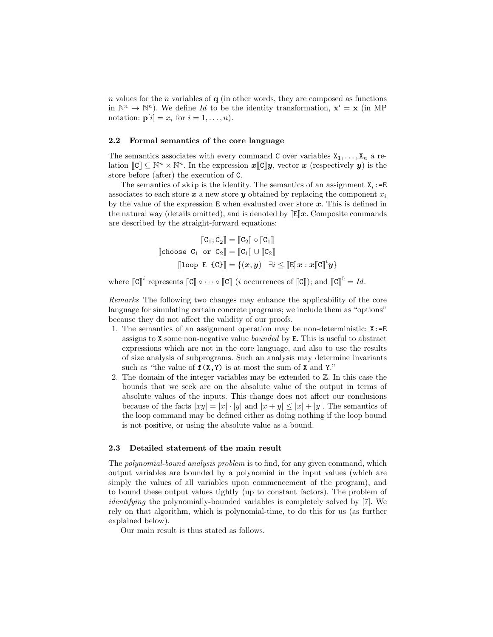n values for the n variables of  $q$  (in other words, they are composed as functions in  $\mathbb{N}^n \to \mathbb{N}^n$ ). We define Id to be the identity transformation,  $\mathbf{x}' = \mathbf{x}$  (in MP) notation:  $\mathbf{p}[i] = x_i$  for  $i = 1, \ldots, n$ .

#### 2.2 Formal semantics of the core language

The semantics associates with every command C over variables  $X_1, \ldots, X_n$  a relation  $\llbracket \mathfrak{C} \rrbracket \subseteq \mathbb{N}^n \times \mathbb{N}^n$ . In the expression  $\mathbf{x} \llbracket \mathfrak{C} \rrbracket \mathbf{y}$ , vector  $\mathbf{x}$  (respectively  $\mathbf{y}$ ) is the store before (after) the execution of C.

The semantics of skip is the identity. The semantics of an assignment  $X_i: E$ associates to each store x a new store y obtained by replacing the component  $x_i$ by the value of the expression  $E$  when evaluated over store  $x$ . This is defined in the natural way (details omitted), and is denoted by  $\mathbb{E} \mathbb{E} x$ . Composite commands are described by the straight-forward equations:

$$
\begin{aligned}\n\llbracket \texttt{C}_1 ; \texttt{C}_2 \rrbracket & = \llbracket \texttt{C}_2 \rrbracket \circ \llbracket \texttt{C}_1 \rrbracket \\
\texttt{[choose C_1 or C_2]} & = \llbracket \texttt{C}_1 \rrbracket \cup \llbracket \texttt{C}_2 \rrbracket \\
\texttt{[C_2]} & \\
\llbracket \texttt{loop E {C}} \rrbracket & = \{(x, y) \mid \exists i \leq \llbracket \texttt{E} \rrbracket x : x \llbracket \texttt{C} \rrbracket^i y\}\n\end{aligned}
$$

where  $\llbracket \texttt{C} \rrbracket^i$  represents  $\llbracket \texttt{C} \rrbracket \circ \cdots \circ \llbracket \texttt{C} \rrbracket$  (*i* occurrences of  $\llbracket \texttt{C} \rrbracket$ ); and  $\llbracket \texttt{C} \rrbracket^0 = Id$ .

Remarks The following two changes may enhance the applicability of the core language for simulating certain concrete programs; we include them as "options" because they do not affect the validity of our proofs.

- 1. The semantics of an assignment operation may be non-deterministic:  $X := E$ assigns to X some non-negative value bounded by E. This is useful to abstract expressions which are not in the core language, and also to use the results of size analysis of subprograms. Such an analysis may determine invariants such as "the value of  $f(X,Y)$  is at most the sum of X and Y."
- 2. The domain of the integer variables may be extended to  $\mathbb{Z}$ . In this case the bounds that we seek are on the absolute value of the output in terms of absolute values of the inputs. This change does not affect our conclusions because of the facts  $|xy| = |x| \cdot |y|$  and  $|x + y| \le |x| + |y|$ . The semantics of the loop command may be defined either as doing nothing if the loop bound is not positive, or using the absolute value as a bound.

#### 2.3 Detailed statement of the main result

The *polynomial-bound analysis problem* is to find, for any given command, which output variables are bounded by a polynomial in the input values (which are simply the values of all variables upon commencement of the program), and to bound these output values tightly (up to constant factors). The problem of identifying the polynomially-bounded variables is completely solved by [7]. We rely on that algorithm, which is polynomial-time, to do this for us (as further explained below).

Our main result is thus stated as follows.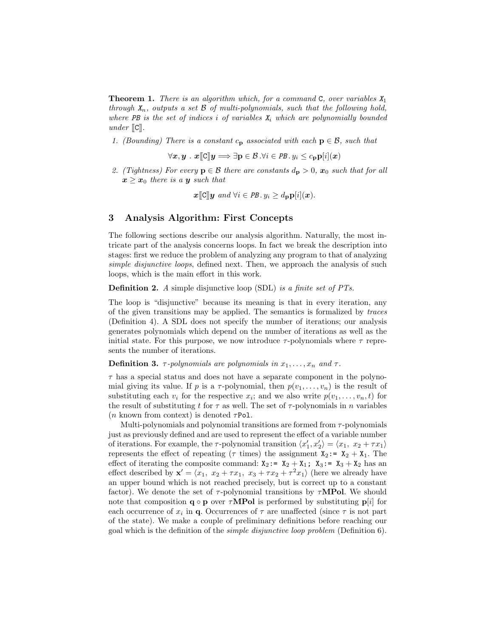**Theorem 1.** There is an algorithm which, for a command  $C$ , over variables  $X_1$ through  $X_n$ , outputs a set  $\beta$  of multi-polynomials, such that the following hold, where PB is the set of indices i of variables  $X_i$  which are polynomially bounded under  $\llbracket \mathbf{C} \rrbracket$ .

1. (Bounding) There is a constant  $c_p$  associated with each  $p \in \mathcal{B}$ , such that

$$
\forall x, y \, \ldotp x \llbracket \texttt{C} \rrbracket y \Longrightarrow \exists \texttt{p} \in \mathcal{B} \, \ldotp \forall i \in \texttt{PB} \, \ldotp y_i \leq c_{\texttt{p}} \texttt{p}[i](x)
$$

2. (Tightness) For every  $p \in \mathcal{B}$  there are constants  $d_p > 0$ ,  $x_0$  such that for all  $x \geq x_0$  there is a y such that

 $\boldsymbol{x}$ [C] $\boldsymbol{y}$  and  $\forall i \in PB$ .  $y_i \geq d_{\mathbf{p}} \mathbf{p}[i](\boldsymbol{x})$ .

## 3 Analysis Algorithm: First Concepts

The following sections describe our analysis algorithm. Naturally, the most intricate part of the analysis concerns loops. In fact we break the description into stages: first we reduce the problem of analyzing any program to that of analyzing simple disjunctive loops, defined next. Then, we approach the analysis of such loops, which is the main effort in this work.

Definition 2. A simple disjunctive loop (SDL) is a finite set of PTs.

The loop is "disjunctive" because its meaning is that in every iteration, any of the given transitions may be applied. The semantics is formalized by traces (Definition 4). A SDL does not specify the number of iterations; our analysis generates polynomials which depend on the number of iterations as well as the initial state. For this purpose, we now introduce  $\tau$ -polynomials where  $\tau$  represents the number of iterations.

**Definition 3.**  $\tau$ -polynomials are polynomials in  $x_1, \ldots, x_n$  and  $\tau$ .

 $\tau$  has a special status and does not have a separate component in the polynomial giving its value. If p is a  $\tau$ -polynomial, then  $p(v_1, \ldots, v_n)$  is the result of substituting each  $v_i$  for the respective  $x_i$ ; and we also write  $p(v_1, \ldots, v_n, t)$  for the result of substituting t for  $\tau$  as well. The set of  $\tau$ -polynomials in n variables (*n* known from context) is denoted  $\tau$ Pol.

Multi-polynomials and polynomial transitions are formed from  $\tau$ -polynomials just as previously defined and are used to represent the effect of a variable number of iterations. For example, the  $\tau$ -polynomial transition  $\langle x_1', x_2' \rangle = \langle x_1, x_2 + \tau x_1 \rangle$ represents the effect of repeating ( $\tau$  times) the assignment  $X_2 := X_2 + X_1$ . The effect of iterating the composite command:  $X_2 := X_2 + X_1$ ;  $X_3 := X_3 + X_2$  has an effect described by  $\mathbf{x}' = \langle x_1, x_2 + \tau x_1, x_3 + \tau x_2 + \tau^2 x_1 \rangle$  (here we already have an upper bound which is not reached precisely, but is correct up to a constant factor). We denote the set of  $\tau$ -polynomial transitions by  $\tau MPol$ . We should note that composition  $q \circ p$  over  $\tau MPol$  is performed by substituting  $p[i]$  for each occurrence of  $x_i$  in **q**. Occurrences of  $\tau$  are unaffected (since  $\tau$  is not part of the state). We make a couple of preliminary definitions before reaching our goal which is the definition of the simple disjunctive loop problem (Definition 6).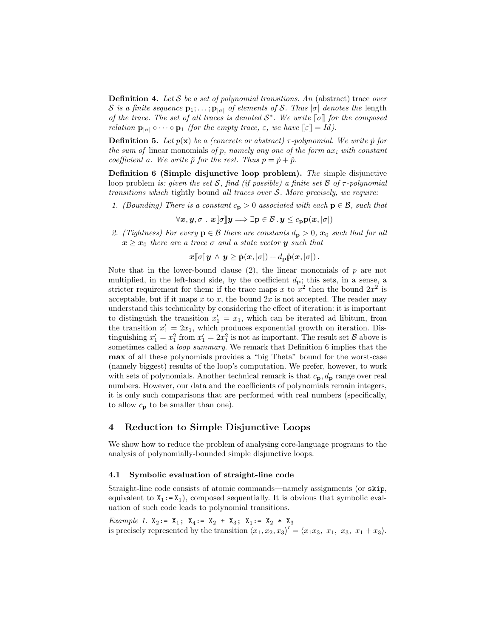**Definition 4.** Let S be a set of polynomial transitions. An (abstract) trace over S is a finite sequence  $\mathbf{p}_1; \ldots; \mathbf{p}_{|\sigma|}$  of elements of S. Thus  $|\sigma|$  denotes the length of the trace. The set of all traces is denoted  $S^*$ . We write  $\llbracket \sigma \rrbracket$  for the composed relation  $\mathbf{p}_{|\sigma|} \circ \cdots \circ \mathbf{p}_1$  (for the empty trace,  $\varepsilon$ , we have  $[\![\varepsilon]\!] = Id$ ).

**Definition 5.** Let  $p(\mathbf{x})$  be a (concrete or abstract)  $\tau$ -polynomial. We write  $\dot{p}$  for the sum of linear monomials of p, namely any one of the form  $ax_i$  with constant coefficient a. We write  $\ddot{p}$  for the rest. Thus  $p = \dot{p} + \ddot{p}$ .

Definition 6 (Simple disjunctive loop problem). The simple disjunctive loop problem is: given the set S, find (if possible) a finite set B of  $\tau$ -polynomial transitions which tightly bound all traces over S. More precisely, we require:

1. (Bounding) There is a constant  $c_{\mathbf{p}} > 0$  associated with each  $\mathbf{p} \in \mathcal{B}$ , such that

$$
\forall x, y, \sigma \, \ldotp \, x \llbracket \sigma \rrbracket y \Longrightarrow \exists \mathbf{p} \in \mathcal{B} \, \ldotp y \leq c_{\mathbf{p}} \mathbf{p}(x,|\sigma|)
$$

2. (Tightness) For every  $p \in \mathcal{B}$  there are constants  $d_p > 0$ ,  $x_0$  such that for all  $x \geq x_0$  there are a trace  $\sigma$  and a state vector **y** such that

$$
\boldsymbol{x}[\![\sigma]\!] \boldsymbol{y} \, \wedge \, \boldsymbol{y} \geq \dot{\mathbf{p}}(\boldsymbol{x},|\sigma|) + d_{\mathbf{p}} \ddot{\mathbf{p}}(\boldsymbol{x},|\sigma|) \, .
$$

Note that in the lower-bound clause  $(2)$ , the linear monomials of p are not multiplied, in the left-hand side, by the coefficient  $d_{\mathbf{p}}$ ; this sets, in a sense, a stricter requirement for them: if the trace maps x to  $x^2$  then the bound  $2x^2$  is acceptable, but if it maps x to x, the bound  $2x$  is not accepted. The reader may understand this technicality by considering the effect of iteration: it is important to distinguish the transition  $x_1' = x_1$ , which can be iterated ad libitum, from the transition  $x'_1 = 2x_1$ , which produces exponential growth on iteration. Distinguishing  $x'_1 = x_1^2$  from  $x'_1 = 2x_1^2$  is not as important. The result set  $\mathcal{B}$  above is sometimes called a *loop summary*. We remark that Definition 6 implies that the max of all these polynomials provides a "big Theta" bound for the worst-case (namely biggest) results of the loop's computation. We prefer, however, to work with sets of polynomials. Another technical remark is that  $c_{\mathbf{p}}, d_{\mathbf{p}}$  range over real numbers. However, our data and the coefficients of polynomials remain integers, it is only such comparisons that are performed with real numbers (specifically, to allow  $c_{\rm p}$  to be smaller than one).

## 4 Reduction to Simple Disjunctive Loops

We show how to reduce the problem of analysing core-language programs to the analysis of polynomially-bounded simple disjunctive loops.

#### 4.1 Symbolic evaluation of straight-line code

Straight-line code consists of atomic commands—namely assignments (or skip, equivalent to  $X_1 := X_1$ , composed sequentially. It is obvious that symbolic evaluation of such code leads to polynomial transitions.

Example 1.  $X_2 := X_1$ ;  $X_4 := X_2 + X_3$ ;  $X_1 := X_2 * X_3$ is precisely represented by the transition  $\langle x_1, x_2, x_3 \rangle' = \langle x_1x_3, x_1, x_3, x_1 + x_3 \rangle$ .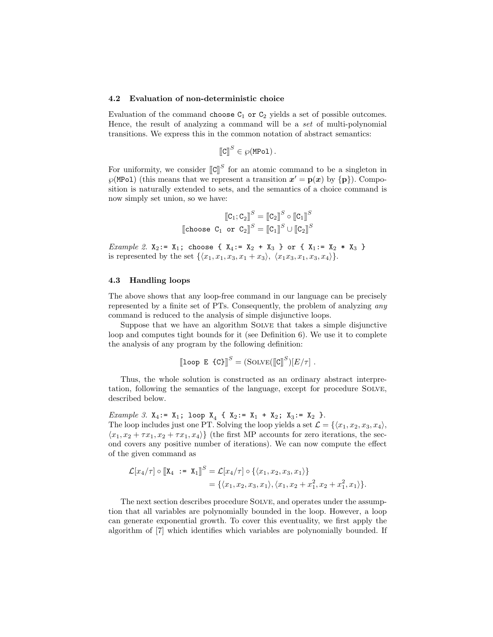#### 4.2 Evaluation of non-deterministic choice

Evaluation of the command choose  $C_1$  or  $C_2$  yields a set of possible outcomes. Hence, the result of analyzing a command will be a set of multi-polynomial transitions. We express this in the common notation of abstract semantics:

$$
\llbracket \texttt{C} \rrbracket^S \in \wp(\texttt{MPol})\,.
$$

For uniformity, we consider  $\llbracket \mathbf{C} \rrbracket^S$  for an atomic command to be a singleton in  $\wp(MPol)$  (this means that we represent a transition  $x' = p(x)$  by  $\{p\}$ ). Composition is naturally extended to sets, and the semantics of a choice command is now simply set union, so we have:

$$
\llbracket \texttt{C}_1 ; \texttt{C}_2 \rrbracket^S = \llbracket \texttt{C}_2 \rrbracket^S \circ \llbracket \texttt{C}_1 \rrbracket^S
$$

*Example 2.*  $X_2 := X_1$ ; choose {  $X_4 := X_2 + X_3$  } or {  $X_1 := X_2 * X_3$  } is represented by the set  $\{\langle x_1, x_1, x_3, x_1 + x_3 \rangle, \langle x_1 x_3, x_1, x_3, x_4 \rangle\}.$ 

#### 4.3 Handling loops

The above shows that any loop-free command in our language can be precisely represented by a finite set of PTs. Consequently, the problem of analyzing any command is reduced to the analysis of simple disjunctive loops.

Suppose that we have an algorithm Solve that takes a simple disjunctive loop and computes tight bounds for it (see Definition 6). We use it to complete the analysis of any program by the following definition:

$$
[\![\texttt{loop E {fCl} }\!]^S = (\mathrm{SOLVE}([\![\texttt{C}]\!]^S)[E/\tau]\;.
$$

Thus, the whole solution is constructed as an ordinary abstract interpretation, following the semantics of the language, except for procedure Solve, described below.

*Example 3.*  $X_4 := X_1$ ; loop  $X_4 \{ X_2 := X_1 + X_2 \}$ ;  $X_3 := X_2$  }. The loop includes just one PT. Solving the loop yields a set  $\mathcal{L} = \{ \langle x_1, x_2, x_3, x_4 \rangle, \}$  $\langle x_1, x_2 + \tau x_1, x_2 + \tau x_1, x_4 \rangle$  (the first MP accounts for zero iterations, the second covers any positive number of iterations). We can now compute the effect of the given command as

$$
\mathcal{L}[x_4/\tau] \circ [\![\mathbf{X}_4 \; := \; \mathbf{X}_1\!] \!]^S = \mathcal{L}[x_4/\tau] \circ \{ \langle x_1, x_2, x_3, x_1 \rangle \} \n= \{ \langle x_1, x_2, x_3, x_1 \rangle, \langle x_1, x_2 + x_1^2, x_2 + x_1^2, x_1 \rangle \}.
$$

The next section describes procedure Solve, and operates under the assumption that all variables are polynomially bounded in the loop. However, a loop can generate exponential growth. To cover this eventuality, we first apply the algorithm of [7] which identifies which variables are polynomially bounded. If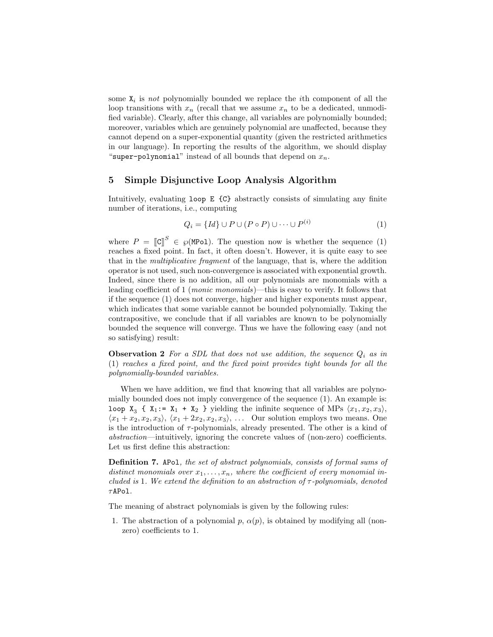some  $X_i$  is *not* polynomially bounded we replace the *i*th component of all the loop transitions with  $x_n$  (recall that we assume  $x_n$  to be a dedicated, unmodified variable). Clearly, after this change, all variables are polynomially bounded; moreover, variables which are genuinely polynomial are unaffected, because they cannot depend on a super-exponential quantity (given the restricted arithmetics in our language). In reporting the results of the algorithm, we should display "super-polynomial" instead of all bounds that depend on  $x_n$ .

## 5 Simple Disjunctive Loop Analysis Algorithm

Intuitively, evaluating loop E {C} abstractly consists of simulating any finite number of iterations, i.e., computing

$$
Q_i = \{Id\} \cup P \cup (P \circ P) \cup \dots \cup P^{(i)} \tag{1}
$$

where  $P = \llbracket C \rrbracket^S \in \wp(MPol)$ . The question now is whether the sequence (1) reaches a fixed point. In fact, it often doesn't. However, it is quite easy to see that in the multiplicative fragment of the language, that is, where the addition operator is not used, such non-convergence is associated with exponential growth. Indeed, since there is no addition, all our polynomials are monomials with a leading coefficient of 1 (monic monomials)—this is easy to verify. It follows that if the sequence (1) does not converge, higher and higher exponents must appear, which indicates that some variable cannot be bounded polynomially. Taking the contrapositive, we conclude that if all variables are known to be polynomially bounded the sequence will converge. Thus we have the following easy (and not so satisfying) result:

**Observation 2** For a SDL that does not use addition, the sequence  $Q_i$  as in (1) reaches a fixed point, and the fixed point provides tight bounds for all the polynomially-bounded variables.

When we have addition, we find that knowing that all variables are polynomially bounded does not imply convergence of the sequence (1). An example is: loop  $X_3$  {  $X_1 := X_1 + X_2$  } yielding the infinite sequence of MPs  $\langle x_1, x_2, x_3 \rangle$ ,  $\langle x_1 + x_2, x_2, x_3 \rangle, \langle x_1 + 2x_2, x_2, x_3 \rangle, \ldots$  Our solution employs two means. One is the introduction of  $\tau$ -polynomials, already presented. The other is a kind of abstraction—intuitively, ignoring the concrete values of (non-zero) coefficients. Let us first define this abstraction:

Definition 7. APol, the set of abstract polynomials, consists of formal sums of distinct monomials over  $x_1, \ldots, x_n$ , where the coefficient of every monomial included is 1. We extend the definition to an abstraction of  $\tau$ -polynomials, denoted  $\tau$ APol.

The meaning of abstract polynomials is given by the following rules:

1. The abstraction of a polynomial p,  $\alpha(p)$ , is obtained by modifying all (nonzero) coefficients to 1.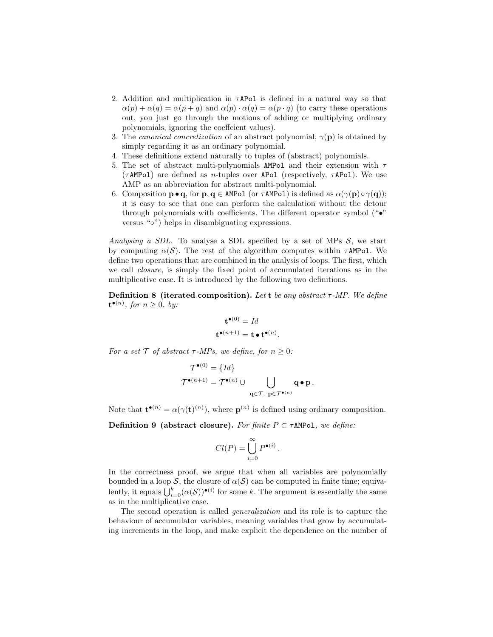- 2. Addition and multiplication in  $\tau A$ Pol is defined in a natural way so that  $\alpha(p) + \alpha(q) = \alpha(p+q)$  and  $\alpha(p) \cdot \alpha(q) = \alpha(p \cdot q)$  (to carry these operations out, you just go through the motions of adding or multiplying ordinary polynomials, ignoring the coeffcient values).
- 3. The *canonical concretization* of an abstract polynomial,  $\gamma(\mathbf{p})$  is obtained by simply regarding it as an ordinary polynomial.
- 4. These definitions extend naturally to tuples of (abstract) polynomials.
- 5. The set of abstract multi-polynomials AMPol and their extension with  $\tau$ ( $\tau$ AMPol) are defined as *n*-tuples over APol (respectively,  $\tau$ APol). We use AMP as an abbreviation for abstract multi-polynomial.
- 6. Composition  $\mathbf{p} \cdot \mathbf{q}$ , for  $\mathbf{p}, \mathbf{q} \in \text{AMPol}$  (or  $\tau \text{AMPol}$ ) is defined as  $\alpha(\gamma(\mathbf{p}) \circ \gamma(\mathbf{q}))$ ; it is easy to see that one can perform the calculation without the detour through polynomials with coefficients. The different operator symbol ("•" versus "◦") helps in disambiguating expressions.

Analysing a SDL. To analyse a SDL specified by a set of MPs  $S$ , we start by computing  $\alpha(S)$ . The rest of the algorithm computes within  $\tau$ AMPol. We define two operations that are combined in the analysis of loops. The first, which we call closure, is simply the fixed point of accumulated iterations as in the multiplicative case. It is introduced by the following two definitions.

**Definition 8** (iterated composition). Let t be any abstract  $\tau$ -MP. We define  ${\bf t}^{\bullet(n)},$  for  $n\geq 0,$  by:

$$
\mathbf{t}^{\bullet(0)} = Id
$$
  

$$
\mathbf{t}^{\bullet(n+1)} = \mathbf{t} \bullet \mathbf{t}^{\bullet(n)}.
$$

For a set  $\mathcal T$  of abstract  $\tau$ -MPs, we define, for  $n \geq 0$ :

$$
\mathcal{T}^{\bullet(0)} = \{ \text{Id} \}
$$

$$
\mathcal{T}^{\bullet(n+1)} = \mathcal{T}^{\bullet(n)} \cup \bigcup_{\mathbf{q} \in \mathcal{T}, \ \mathbf{p} \in \mathcal{T}^{\bullet(n)}} \mathbf{q} \bullet \mathbf{p} \, .
$$

Note that  $\mathbf{t}^{\bullet(n)} = \alpha(\gamma(\mathbf{t})^{(n)})$ , where  $\mathbf{p}^{(n)}$  is defined using ordinary composition.

**Definition 9 (abstract closure).** For finite  $P \subset \tau$ AMPol, we define:

$$
Cl(P) = \bigcup_{i=0}^{\infty} P^{\bullet(i)}.
$$

In the correctness proof, we argue that when all variables are polynomially bounded in a loop S, the closure of  $\alpha(S)$  can be computed in finite time; equivalently, it equals  $\bigcup_{i=0}^k (\alpha(\mathcal{S}))^{\bullet(i)}$  for some k. The argument is essentially the same as in the multiplicative case.

The second operation is called generalization and its role is to capture the behaviour of accumulator variables, meaning variables that grow by accumulating increments in the loop, and make explicit the dependence on the number of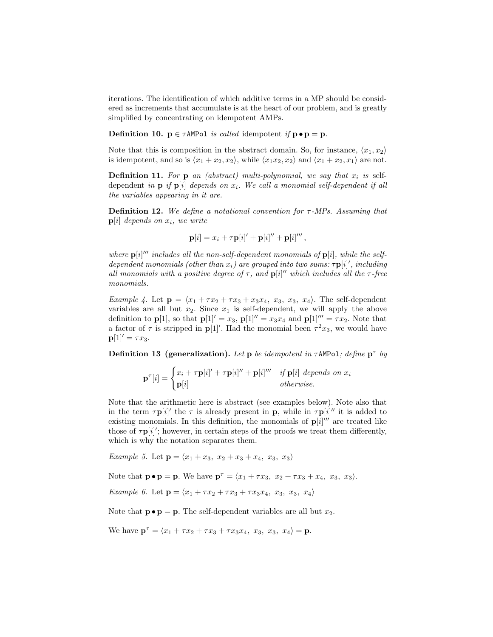iterations. The identification of which additive terms in a MP should be considered as increments that accumulate is at the heart of our problem, and is greatly simplified by concentrating on idempotent AMPs.

Definition 10.  $p \in \tau$ AMPol is called idempotent if  $p \bullet p = p$ .

Note that this is composition in the abstract domain. So, for instance,  $\langle x_1, x_2 \rangle$ is idempotent, and so is  $\langle x_1 + x_2, x_2 \rangle$ , while  $\langle x_1 x_2, x_2 \rangle$  and  $\langle x_1 + x_2, x_1 \rangle$  are not.

**Definition 11.** For **p** an (abstract) multi-polynomial, we say that  $x_i$  is selfdependent in  $p$  if  $p[i]$  depends on  $x_i$ . We call a monomial self-dependent if all the variables appearing in it are.

**Definition 12.** We define a notational convention for  $\tau$ -MPs. Assuming that  $\mathbf{p}[i]$  depends on  $x_i$ , we write

$$
\mathbf{p}[i] = x_i + \tau \mathbf{p}[i]' + \mathbf{p}[i]'' + \mathbf{p}[i]''' ,
$$

where  $p[i]'''$  includes all the non-self-dependent monomials of  $p[i]$ , while the selfdependent monomials (other than  $x_i$ ) are grouped into two sums:  $\tau \mathbf{p}[i]'$ , including all monomials with a positive degree of  $\tau$ , and  $\mathbf{p}[i]'$  which includes all the  $\tau$ -free monomials.

*Example 4.* Let  $\mathbf{p} = \langle x_1 + \tau x_2 + \tau x_3 + x_3x_4, x_3, x_4 \rangle$ . The self-dependent variables are all but  $x_2$ . Since  $x_1$  is self-dependent, we will apply the above definition to  $p[1]$ , so that  $p[1]' = x_3$ ,  $p[1]'' = x_3x_4$  and  $p[1]''' = \tau x_2$ . Note that a factor of  $\tau$  is stripped in  $\mathbf{p}[1]'$ . Had the monomial been  $\tau^2 x_3$ , we would have  ${\bf p}[1]' = \tau x_3.$ 

Definition 13 (generalization). Let p be idempotent in  $\tau$ AMPol; define p<sup> $\tau$ </sup> by

$$
\mathbf{p}^{\tau}[i] = \begin{cases} x_i + \tau \mathbf{p}[i]'+\tau \mathbf{p}[i]'' + \mathbf{p}[i]''' & \text{if } \mathbf{p}[i] \text{ depends on } x_i \\ \mathbf{p}[i] & \text{otherwise.} \end{cases}
$$

Note that the arithmetic here is abstract (see examples below). Note also that in the term  $\tau \mathbf{p}[i]'$  the  $\tau$  is already present in **p**, while in  $\tau \mathbf{p}[i]'$  it is added to existing monomials. In this definition, the monomials of  $p[i]'''$  are treated like those of  $\tau \mathbf{p}[i]'$ ; however, in certain steps of the proofs we treat them differently, which is why the notation separates them.

Example 5. Let  $\mathbf{p} = \langle x_1 + x_3, x_2 + x_3 + x_4, x_3, x_3 \rangle$ 

Note that  $\mathbf{p} \bullet \mathbf{p} = \mathbf{p}$ . We have  $\mathbf{p}^{\tau} = \langle x_1 + \tau x_3, x_2 + \tau x_3 + x_4, x_3, x_3 \rangle$ .

Example 6. Let  $\mathbf{p} = \langle x_1 + \tau x_2 + \tau x_3 + \tau x_3x_4, x_3, x_4 \rangle$ 

Note that  $\mathbf{p} \bullet \mathbf{p} = \mathbf{p}$ . The self-dependent variables are all but  $x_2$ .

We have  $\mathbf{p}^{\tau} = \langle x_1 + \tau x_2 + \tau x_3 + \tau x_3x_4, x_3, x_3, x_4 \rangle = \mathbf{p}$ .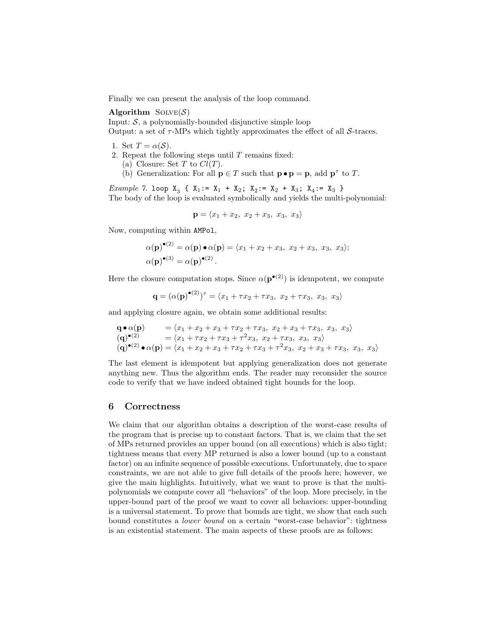Finally we can present the analysis of the loop command.

### Algorithm  $SOLVE(S)$

Input:  $S$ , a polynomially-bounded disjunctive simple loop Output: a set of  $\tau$ -MPs which tightly approximates the effect of all S-traces.

- 1. Set  $T = \alpha(S)$ .
- 2. Repeat the following steps until  $T$  remains fixed:
	- (a) Closure: Set T to  $Cl(T)$ .
	- (b) Generalization: For all  $p \in T$  such that  $p \bullet p = p$ , add  $p^{\tau}$  to T.

*Example 7.* loop  $X_3 \{ X_1 := X_1 + X_2; X_2 := X_2 + X_3; X_4 := X_3 \}$ The body of the loop is evaluated symbolically and yields the multi-polynomial:

$$
\mathbf{p} = \langle x_1 + x_2, x_2 + x_3, x_3, x_3 \rangle
$$

Now, computing within AMPol,

$$
\alpha(\mathbf{p})^{\bullet(2)} = \alpha(\mathbf{p}) \bullet \alpha(\mathbf{p}) = \langle x_1 + x_2 + x_3, x_2 + x_3, x_3, x_3 \rangle;
$$
  

$$
\alpha(\mathbf{p})^{\bullet(3)} = \alpha(\mathbf{p})^{\bullet(2)}.
$$

Here the closure computation stops. Since  $\alpha(\mathbf{p}^{\bullet(2)})$  is idempotent, we compute

$$
\mathbf{q} = (\alpha(\mathbf{p})^{\bullet(2)})^{\tau} = \langle x_1 + \tau x_2 + \tau x_3, x_2 + \tau x_3, x_3, x_3 \rangle
$$

and applying closure again, we obtain some additional results:

$$
\begin{array}{ll}\n\mathbf{q} \bullet \alpha(\mathbf{p}) &= \langle x_1 + x_2 + x_3 + \tau x_2 + \tau x_3, \ x_2 + x_3 + \tau x_3, \ x_3, \ x_3 \rangle \\
(\mathbf{q})^{\bullet(2)} &= \langle x_1 + \tau x_2 + \tau x_3 + \tau^2 x_3, \ x_2 + \tau x_3, \ x_3, \ x_3 \rangle \\
(\mathbf{q})^{\bullet(2)} \bullet \alpha(\mathbf{p}) &= \langle x_1 + x_2 + x_3 + \tau x_2 + \tau x_3 + \tau^2 x_3, \ x_2 + x_3 + \tau x_3, \ x_3, \ x_3 \rangle\n\end{array}
$$

The last element is idempotent but applying generalization does not generate anything new. Thus the algorithm ends. The reader may reconsider the source code to verify that we have indeed obtained tight bounds for the loop.

## 6 Correctness

We claim that our algorithm obtains a description of the worst-case results of the program that is precise up to constant factors. That is, we claim that the set of MPs returned provides an upper bound (on all executions) which is also tight; tightness means that every MP returned is also a lower bound (up to a constant factor) on an infinite sequence of possible executions. Unfortunately, due to space constraints, we are not able to give full details of the proofs here; however, we give the main highlights. Intuitively, what we want to prove is that the multipolynomials we compute cover all "behaviors" of the loop. More precisely, in the upper-bound part of the proof we want to cover all behaviors: upper-bounding is a universal statement. To prove that bounds are tight, we show that each such bound constitutes a lower bound on a certain "worst-case behavior": tightness is an existential statement. The main aspects of these proofs are as follows: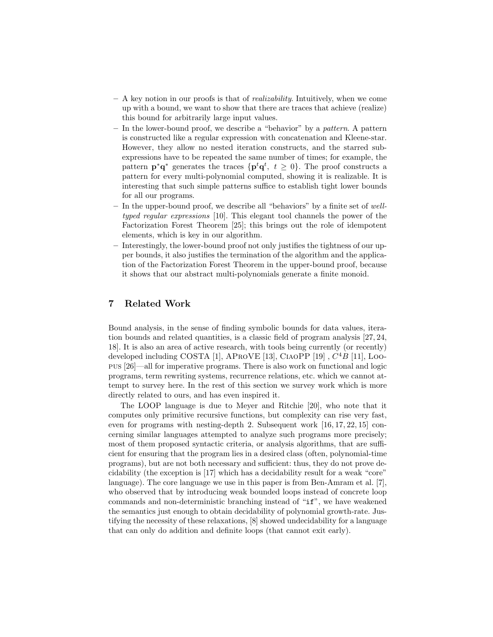- $-$  A key notion in our proofs is that of *realizability*. Intuitively, when we come up with a bound, we want to show that there are traces that achieve (realize) this bound for arbitrarily large input values.
- In the lower-bound proof, we describe a "behavior" by a pattern. A pattern is constructed like a regular expression with concatenation and Kleene-star. However, they allow no nested iteration constructs, and the starred subexpressions have to be repeated the same number of times; for example, the pattern  $\mathbf{p}^* \mathbf{q}^*$  generates the traces  $\{ \mathbf{p}^t \mathbf{q}^t, t \geq 0 \}$ . The proof constructs a pattern for every multi-polynomial computed, showing it is realizable. It is interesting that such simple patterns suffice to establish tight lower bounds for all our programs.
- In the upper-bound proof, we describe all "behaviors" by a finite set of welltyped regular expressions [10]. This elegant tool channels the power of the Factorization Forest Theorem [25]; this brings out the role of idempotent elements, which is key in our algorithm.
- Interestingly, the lower-bound proof not only justifies the tightness of our upper bounds, it also justifies the termination of the algorithm and the application of the Factorization Forest Theorem in the upper-bound proof, because it shows that our abstract multi-polynomials generate a finite monoid.

# 7 Related Work

Bound analysis, in the sense of finding symbolic bounds for data values, iteration bounds and related quantities, is a classic field of program analysis [27, 24, 18]. It is also an area of active research, with tools being currently (or recently) developed including COSTA [1], APROVE [13], CIAOPP [19],  $C<sup>4</sup>B$  [11], Loopus [26]—all for imperative programs. There is also work on functional and logic programs, term rewriting systems, recurrence relations, etc. which we cannot attempt to survey here. In the rest of this section we survey work which is more directly related to ours, and has even inspired it.

The LOOP language is due to Meyer and Ritchie [20], who note that it computes only primitive recursive functions, but complexity can rise very fast, even for programs with nesting-depth 2. Subsequent work [16, 17, 22, 15] concerning similar languages attempted to analyze such programs more precisely; most of them proposed syntactic criteria, or analysis algorithms, that are sufficient for ensuring that the program lies in a desired class (often, polynomial-time programs), but are not both necessary and sufficient: thus, they do not prove decidability (the exception is [17] which has a decidability result for a weak "core" language). The core language we use in this paper is from Ben-Amram et al. [7], who observed that by introducing weak bounded loops instead of concrete loop commands and non-deterministic branching instead of "if", we have weakened the semantics just enough to obtain decidability of polynomial growth-rate. Justifying the necessity of these relaxations, [8] showed undecidability for a language that can only do addition and definite loops (that cannot exit early).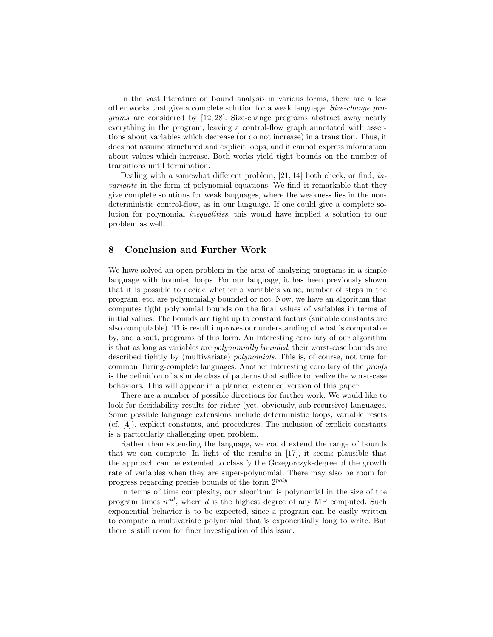In the vast literature on bound analysis in various forms, there are a few other works that give a complete solution for a weak language. Size-change programs are considered by [12, 28]. Size-change programs abstract away nearly everything in the program, leaving a control-flow graph annotated with assertions about variables which decrease (or do not increase) in a transition. Thus, it does not assume structured and explicit loops, and it cannot express information about values which increase. Both works yield tight bounds on the number of transitions until termination.

Dealing with a somewhat different problem, [21, 14] both check, or find, invariants in the form of polynomial equations. We find it remarkable that they give complete solutions for weak languages, where the weakness lies in the nondeterministic control-flow, as in our language. If one could give a complete solution for polynomial inequalities, this would have implied a solution to our problem as well.

# 8 Conclusion and Further Work

We have solved an open problem in the area of analyzing programs in a simple language with bounded loops. For our language, it has been previously shown that it is possible to decide whether a variable's value, number of steps in the program, etc. are polynomially bounded or not. Now, we have an algorithm that computes tight polynomial bounds on the final values of variables in terms of initial values. The bounds are tight up to constant factors (suitable constants are also computable). This result improves our understanding of what is computable by, and about, programs of this form. An interesting corollary of our algorithm is that as long as variables are polynomially bounded, their worst-case bounds are described tightly by (multivariate) polynomials. This is, of course, not true for common Turing-complete languages. Another interesting corollary of the proofs is the definition of a simple class of patterns that suffice to realize the worst-case behaviors. This will appear in a planned extended version of this paper.

There are a number of possible directions for further work. We would like to look for decidability results for richer (yet, obviously, sub-recursive) languages. Some possible language extensions include deterministic loops, variable resets (cf. [4]), explicit constants, and procedures. The inclusion of explicit constants is a particularly challenging open problem.

Rather than extending the language, we could extend the range of bounds that we can compute. In light of the results in [17], it seems plausible that the approach can be extended to classify the Grzegorczyk-degree of the growth rate of variables when they are super-polynomial. There may also be room for progress regarding precise bounds of the form  $2^{poly}$ .

In terms of time complexity, our algorithm is polynomial in the size of the program times  $n^{nd}$ , where d is the highest degree of any MP computed. Such exponential behavior is to be expected, since a program can be easily written to compute a multivariate polynomial that is exponentially long to write. But there is still room for finer investigation of this issue.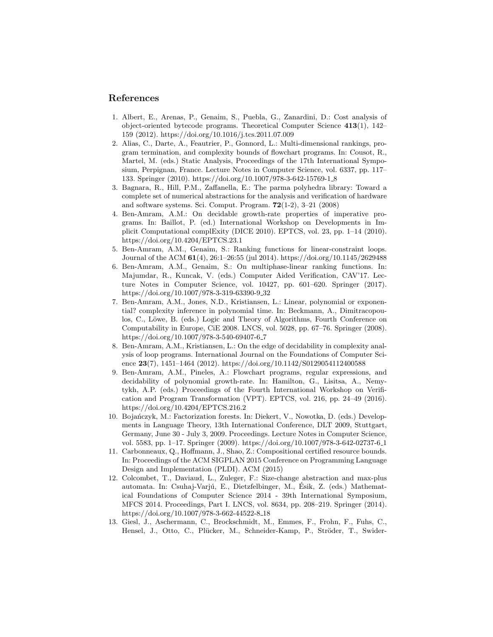# References

- 1. Albert, E., Arenas, P., Genaim, S., Puebla, G., Zanardini, D.: Cost analysis of object-oriented bytecode programs. Theoretical Computer Science 413(1), 142– 159 (2012). https://doi.org/10.1016/j.tcs.2011.07.009
- 2. Alias, C., Darte, A., Feautrier, P., Gonnord, L.: Multi-dimensional rankings, program termination, and complexity bounds of flowchart programs. In: Cousot, R., Martel, M. (eds.) Static Analysis, Proceedings of the 17th International Symposium, Perpignan, France. Lecture Notes in Computer Science, vol. 6337, pp. 117– 133. Springer (2010). https://doi.org/10.1007/978-3-642-15769-1 8
- 3. Bagnara, R., Hill, P.M., Zaffanella, E.: The parma polyhedra library: Toward a complete set of numerical abstractions for the analysis and verification of hardware and software systems. Sci. Comput. Program. 72(1-2), 3–21 (2008)
- 4. Ben-Amram, A.M.: On decidable growth-rate properties of imperative programs. In: Baillot, P. (ed.) International Workshop on Developments in Implicit Computational complExity (DICE 2010). EPTCS, vol. 23, pp. 1–14 (2010). https://doi.org/10.4204/EPTCS.23.1
- 5. Ben-Amram, A.M., Genaim, S.: Ranking functions for linear-constraint loops. Journal of the ACM 61(4), 26:1–26:55 (jul 2014). https://doi.org/10.1145/2629488
- 6. Ben-Amram, A.M., Genaim, S.: On multiphase-linear ranking functions. In: Majumdar, R., Kuncak, V. (eds.) Computer Aided Verification, CAV'17. Lecture Notes in Computer Science, vol. 10427, pp. 601–620. Springer (2017). https://doi.org/10.1007/978-3-319-63390-9 32
- 7. Ben-Amram, A.M., Jones, N.D., Kristiansen, L.: Linear, polynomial or exponential? complexity inference in polynomial time. In: Beckmann, A., Dimitracopoulos, C., Löwe, B. (eds.) Logic and Theory of Algorithms, Fourth Conference on Computability in Europe, CiE 2008. LNCS, vol. 5028, pp. 67–76. Springer (2008). https://doi.org/10.1007/978-3-540-69407-6 7
- 8. Ben-Amram, A.M., Kristiansen, L.: On the edge of decidability in complexity analysis of loop programs. International Journal on the Foundations of Computer Science 23(7), 1451–1464 (2012). https://doi.org/10.1142/S0129054112400588
- 9. Ben-Amram, A.M., Pineles, A.: Flowchart programs, regular expressions, and decidability of polynomial growth-rate. In: Hamilton, G., Lisitsa, A., Nemytykh, A.P. (eds.) Proceedings of the Fourth International Workshop on Verification and Program Transformation (VPT). EPTCS, vol. 216, pp. 24–49 (2016). https://doi.org/10.4204/EPTCS.216.2
- 10. Bojańczyk, M.: Factorization forests. In: Diekert, V., Nowotka, D. (eds.) Developments in Language Theory, 13th International Conference, DLT 2009, Stuttgart, Germany, June 30 - July 3, 2009. Proceedings. Lecture Notes in Computer Science, vol. 5583, pp. 1–17. Springer (2009). https://doi.org/10.1007/978-3-642-02737-6 1
- 11. Carbonneaux, Q., Hoffmann, J., Shao, Z.: Compositional certified resource bounds. In: Proceedings of the ACM SIGPLAN 2015 Conference on Programming Language Design and Implementation (PLDI). ACM (2015)
- 12. Colcombet, T., Daviaud, L., Zuleger, F.: Size-change abstraction and max-plus automata. In: Csuhaj-Varjú, E., Dietzfelbinger, M., Ésik, Z. (eds.) Mathematical Foundations of Computer Science 2014 - 39th International Symposium, MFCS 2014. Proceedings, Part I. LNCS, vol. 8634, pp. 208–219. Springer (2014). https://doi.org/10.1007/978-3-662-44522-8 18
- 13. Giesl, J., Aschermann, C., Brockschmidt, M., Emmes, F., Frohn, F., Fuhs, C., Hensel, J., Otto, C., Plücker, M., Schneider-Kamp, P., Ströder, T., Swider-